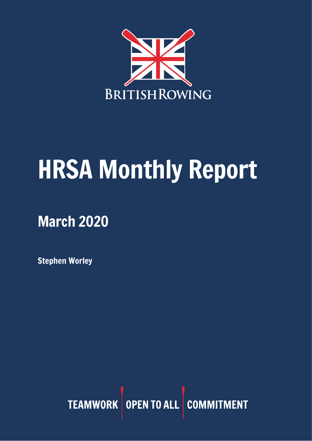

# HRSA Monthly Report

# March 2020

Stephen Worley

TEAMWORK OPEN TO ALL COMMITMENT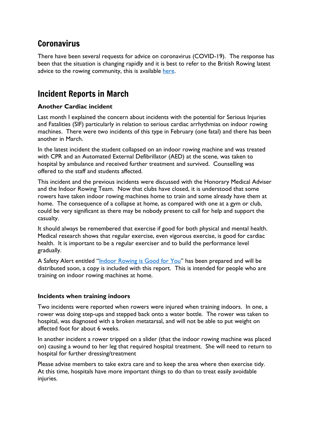#### Coronavirus

There have been several requests for advice on coronavirus (COVID-19). The response has been that the situation is changing rapidly and it is best to refer to the British Rowing latest advice to the rowing community, this is available [here.](https://www.britishrowing.org/2020/02/british-rowing-update-on-coronavirus-covid-19/)

#### Incident Reports in March

#### **Another Cardiac incident**

Last month I explained the concern about incidents with the potential for Serious Injuries and Fatalities (SIF) particularly in relation to serious cardiac arrhythmias on indoor rowing machines. There were two incidents of this type in February (one fatal) and there has been another in March.

In the latest incident the student collapsed on an indoor rowing machine and was treated with CPR and an Automated External Defibrillator (AED) at the scene, was taken to hospital by ambulance and received further treatment and survived. Counselling was offered to the staff and students affected.

This incident and the previous incidents were discussed with the Honorary Medical Adviser and the Indoor Rowing Team. Now that clubs have closed, it is understood that some rowers have taken indoor rowing machines home to train and some already have them at home. The consequence of a collapse at home, as compared with one at a gym or club, could be very significant as there may be nobody present to call for help and support the casualty.

It should always be remembered that exercise if good for both physical and mental health. Medical research shows that regular exercise, even vigorous exercise, is good for cardiac health. It is important to be a regular exerciser and to build the performance level gradually.

A Safety Alert entitled "Indoor [Rowing](https://www.britishrowing.org/wp-content/uploads/2020/04/Safety-Alert-Indoor-Rowing-is-good-for-you-March-2020.pdf) is Good for You" has been prepared and will be distributed soon, a copy is included with this report. This is intended for people who are training on indoor rowing machines at home.

#### **Incidents when training indoors**

Two incidents were reported when rowers were injured when training indoors. In one, a rower was doing step-ups and stepped back onto a water bottle. The rower was taken to hospital, was diagnosed with a broken metatarsal, and will not be able to put weight on affected foot for about 6 weeks.

In another incident a rower tripped on a slider (that the indoor rowing machine was placed on) causing a wound to her leg that required hospital treatment. She will need to return to hospital for further dressing/treatment

Please advise members to take extra care and to keep the area where then exercise tidy. At this time, hospitals have more important things to do than to treat easily avoidable iniuries.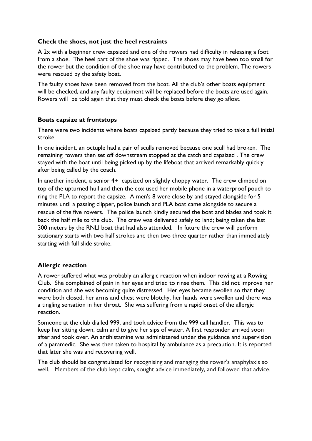#### **Check the shoes, not just the heel restraints**

A 2x with a beginner crew capsized and one of the rowers had difficulty in releasing a foot from a shoe. The heel part of the shoe was ripped. The shoes may have been too small for the rower but the condition of the shoe may have contributed to the problem. The rowers were rescued by the safety boat.

The faulty shoes have been removed from the boat. All the club's other boats equipment will be checked, and any faulty equipment will be replaced before the boats are used again. Rowers will be told again that they must check the boats before they go afloat.

#### **Boats capsize at frontstops**

There were two incidents where boats capsized partly because they tried to take a full initial stroke.

In one incident, an octuple had a pair of sculls removed because one scull had broken. The remaining rowers then set off downstream stopped at the catch and capsized . The crew stayed with the boat until being picked up by the lifeboat that arrived remarkably quickly after being called by the coach.

In another incident, a senior 4+ capsized on slightly choppy water. The crew climbed on top of the upturned hull and then the cox used her mobile phone in a waterproof pouch to ring the PLA to report the capsize. A men's 8 were close by and stayed alongside for 5 minutes until a passing clipper, police launch and PLA boat came alongside to secure a rescue of the five rowers. The police launch kindly secured the boat and blades and took it back the half mile to the club. The crew was delivered safely to land; being taken the last 300 meters by the RNLI boat that had also attended. In future the crew will perform stationary starts with two half strokes and then two three quarter rather than immediately starting with full slide stroke.

#### **Allergic reaction**

A rower suffered what was probably an allergic reaction when indoor rowing at a Rowing Club. She complained of pain in her eyes and tried to rinse them. This did not improve her condition and she was becoming quite distressed. Her eyes became swollen so that they were both closed, her arms and chest were blotchy, her hands were swollen and there was a tingling sensation in her throat. She was suffering from a rapid onset of the allergic reaction.

Someone at the club dialled 999, and took advice from the 999 call handler. This was to keep her sitting down, calm and to give her sips of water. A first responder arrived soon after and took over. An antihistamine was administered under the guidance and supervision of a paramedic. She was then taken to hospital by ambulance as a precaution. It is reported that later she was and recovering well.

The club should be congratulated for recognising and managing the rower's anaphylaxis so well. Members of the club kept calm, sought advice immediately, and followed that advice.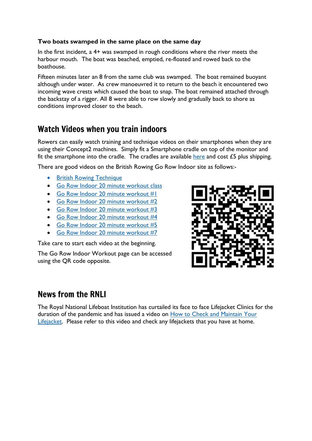#### **Two boats swamped in the same place on the same day**

In the first incident, a 4+ was swamped in rough conditions where the river meets the harbour mouth. The boat was beached, emptied, re-floated and rowed back to the boathouse.

Fifteen minutes later an 8 from the same club was swamped. The boat remained buoyant although under water. As crew manoeuvred it to return to the beach it encountered two incoming wave crests which caused the boat to snap. The boat remained attached through the backstay of a rigger. All 8 were able to row slowly and gradually back to shore as conditions improved closer to the beach.

## Watch Videos when you train indoors

Rowers can easily watch training and technique videos on their smartphones when they are using their Concept2 machines. Simply fit a Smartphone cradle on top of the monitor and fit the smartphone into the cradle. The cradles are available [here](https://www.concept2.co.uk/indoor-rowers/accessories/smartphone-cradle) and cost  $\pounds$ 5 plus shipping.

There are good videos on the British Rowing Go Row Indoor site as follows:-

- **British Rowing [Technique](https://www.britishrowing.org/indoor-rowing/go-row-indoor/how-to-indoor-row/british-rowing-technique/)**
- Go Row Indoor 20 minute [workout](https://www.youtube.com/watch?v=st_AakadXdk) class
- Go Row Indoor 20 minute [workout](https://www.youtube.com/watch?v=THuWp4-pbYs) #1
- Go Row Indoor 20 minute [workout](https://www.youtube.com/watch?v=oX8s2T6BhoY&) #2
- Go Row Indoor 20 minute [workout](https://www.youtube.com/watch?v=HYyvDwfYXJk&) #3
- Go Row Indoor 20 minute [workout](https://www.youtube.com/watch?v=-T3SwzTcLt4&list=PLJKYUSBLszJL9VOK0ETuZ4gO0xvv9cnZa&) #4
- Go Row Indoor 20 minute [workout](https://www.youtube.com/watch?v=ndFhHh68-B0&list=PLJKYUSBLszJL9VOK0ETuZ4gO0xvv9cnZa&) #5
- Go Row Indoor 20 minute [workout](https://www.youtube.com/watch?v=7SJ9RIqN_5Y&list=PLJKYUSBLszJL9VOK0ETuZ4gO0xvv9cnZa&) #7

Take care to start each video at the beginning.

The Go Row Indoor Workout page can be accessed using the QR code opposite.



#### News from the RNLI

The Royal National Lifeboat Institution has curtailed its face to face Lifejacket Clinics for the duration of the pandemic and has issued a video on How to Check and [Maintain](https://rnli.org/video-player/ECEA680A-5188-468C-9A0B90E770C0E026?fbclid=IwAR11BCbR62JPDxGPgffC3XRGqvGEHv9o3YFHG9dvw9xRVShNHzTpXPhpiBw) Your [Lifejacket.](https://rnli.org/video-player/ECEA680A-5188-468C-9A0B90E770C0E026?fbclid=IwAR11BCbR62JPDxGPgffC3XRGqvGEHv9o3YFHG9dvw9xRVShNHzTpXPhpiBw) Please refer to this video and check any lifejackets that you have at home.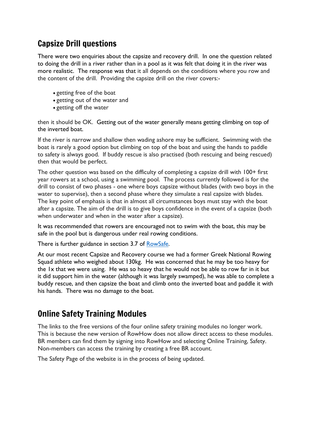#### Capsize Drill questions

There were two enquiries about the capsize and recovery drill. In one the question related to doing the drill in a river rather than in a pool as it was felt that doing it in the river was more realistic. The response was that it all depends on the conditions where you row and the content of the drill. Providing the capsize drill on the river covers:-

- getting free of the boat
- getting out of the water and
- getting off the water

then it should be OK. Getting out of the water generally means getting climbing on top of the inverted boat.

If the river is narrow and shallow then wading ashore may be sufficient. Swimming with the boat is rarely a good option but climbing on top of the boat and using the hands to paddle to safety is always good. If buddy rescue is also practised (both rescuing and being rescued) then that would be perfect.

The other question was based on the difficulty of completing a capsize drill with 100+ first year rowers at a school, using a swimming pool. The process currently followed is for the drill to consist of two phases - one where boys capsize without blades (with two boys in the water to supervise), then a second phase where they simulate a real capsize with blades. The key point of emphasis is that in almost all circumstances boys must stay with the boat after a capsize. The aim of the drill is to give boys confidence in the event of a capsize (both when underwater and when in the water after a capsize).

It was recommended that rowers are encouraged not to swim with the boat, this may be safe in the pool but is dangerous under real rowing conditions.

There is further guidance in section 3.7 of [RowSafe.](https://www.britishrowing.org/about-us/policies-guidance/rowsafe/)

At our most recent Capsize and Recovery course we had a former Greek National Rowing Squad athlete who weighed about 130kg. He was concerned that he may be too heavy for the 1x that we were using. He was so heavy that he would not be able to row far in it but it did support him in the water (although it was largely swamped), he was able to complete a buddy rescue, and then capsize the boat and climb onto the inverted boat and paddle it with his hands. There was no damage to the boat.

#### Online Safety Training Modules

The links to the free versions of the four online safety training modules no longer work. This is because the new version of RowHow does not allow direct access to these modules. BR members can find them by signing into RowHow and selecting Online Training, Safety. Non-members can access the training by creating a free BR account.

The Safety Page of the website is in the process of being updated.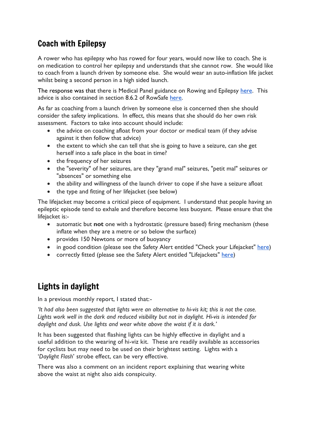# Coach with Epilepsy

A rower who has epilepsy who has rowed for four years, would now like to coach. She is on medication to control her epilepsy and understands that she cannot row. She would like to coach from a launch driven by someone else. She would wear an auto-inflation life jacket whilst being a second person in a high sided launch.

The response was that there is Medical Panel guidance on Rowing and Epilepsy [here.](https://www.britishrowing.org/knowledge/safety/health-and-fitness/rowing-and-epilepsy/) This advice is also contained in section 8.6.2 of RowSafe [here.](https://www.britishrowing.org/wp-content/uploads/2019/04/Row-Safe-April-2019-Chp-8.pdf)

As far as coaching from a launch driven by someone else is concerned then she should consider the safety implications. In effect, this means that she should do her own risk assessment. Factors to take into account should include:

- the advice on coaching afloat from your doctor or medical team (if they advise against it then follow that advice)
- the extent to which she can tell that she is going to have a seizure, can she get herself into a safe place in the boat in time?
- the frequency of her seizures
- the "severity" of her seizures, are they "grand mal" seizures, "petit mal" seizures or "absences" or something else
- the ability and willingness of the launch driver to cope if she have a seizure afloat
- the type and fitting of her lifejacket (see below)

The lifejacket may become a critical piece of equipment. I understand that people having an epileptic episode tend to exhale and therefore become less buoyant. Please ensure that the lifejacket is:-

- automatic but **not** one with a hydrostatic (pressure based) firing mechanism (these inflate when they are a metre or so below the surface)
- provides 150 Newtons or more of buoyancy
- in good condition (please see the Safety Alert entitled "Check your Lifejacket" [here\)](https://www.britishrowing.org/wp-content/uploads/2015/09/Safety-Alert-check-your-lifejacket.pdf)
- correctly fitted (please see the Safety Alert entitled "Lifejackets" [here\)](https://www.britishrowing.org/wp-content/uploads/2015/09/Safety-Alert-February-2015-Lifejackets.pdf)

# Lights in daylight

In a previous monthly report, I stated that:-

*'It had also been suggested that lights were an alternative to hi-vis kit; this is not the case. Lights work well in the dark and reduced visibility but not in daylight. Hi-vis is intended for daylight and dusk. Use lights and wear white above the waist if it is dark.'*

It has been suggested that flashing lights can be highly effective in daylight and a useful addition to the wearing of hi-viz kit. These are readily available as accessories for cyclists but may need to be used on their brightest setting. Lights with a '*Daylight Flash*' strobe effect, can be very effective.

There was also a comment on an incident report explaining that wearing white above the waist at night also aids conspicuity.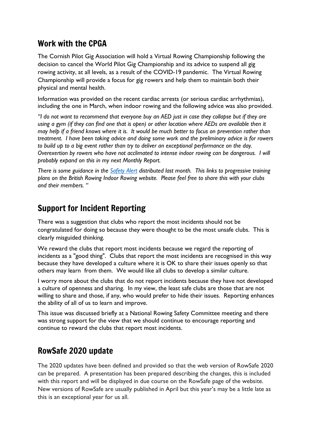#### Work with the CPGA

The Cornish Pilot Gig Association will hold a Virtual Rowing Championship following the decision to cancel the World Pilot Gig Championship and its advice to suspend all gig rowing activity, at all levels, as a result of the COVID-19 pandemic. The Virtual Rowing Championship will provide a focus for gig rowers and help them to maintain both their physical and mental health.

Information was provided on the recent cardiac arrests (or serious cardiac arrhythmias), including the one in March, when indoor rowing and the following advice was also provided.

"I do not want to recommend that everyone buy an AED just in case they collapse but if they are using a gym (if they can find one that is open) or other location where AEDs are available then it may help if a friend knows where it is. It would be much better to focus on prevention rather than *treatment. I have been taking advice and doing some work and the preliminary advice is for rowers to build up to a big event rather than try to deliver an exceptional performance on the day. Overexertion by rowers who have not acclimated to intense indoor rowing can be dangerous. I will probably expand on this in my next Monthly Report.*

*There is some guidance in the [Safety](https://www.britishrowing.org/wp-content/uploads/2020/03/Safety-Alert-Care-when-Indoor-Rowing-Feb-2020.pdf) Alert distributed last month. This links to progressive training plans on the British Rowing Indoor Rowing website. Please feel free to share this with your clubs and their members. "*

# Support for Incident Reporting

There was a suggestion that clubs who report the most incidents should not be congratulated for doing so because they were thought to be the most unsafe clubs. This is clearly misguided thinking.

We reward the clubs that report most incidents because we regard the reporting of incidents as a "good thing". Clubs that report the most incidents are recognised in this way because they have developed a culture where it is OK to share their issues openly so that others may learn from them. We would like all clubs to develop a similar culture.

I worry more about the clubs that do not report incidents because they have not developed a culture of openness and sharing. In my view, the least safe clubs are those that are not willing to share and those, if any, who would prefer to hide their issues. Reporting enhances the ability of all of us to learn and improve.

This issue was discussed briefly at a National Rowing Safety Committee meeting and there was strong support for the view that we should continue to encourage reporting and continue to reward the clubs that report most incidents.

# RowSafe 2020 update

The 2020 updates have been defined and provided so that the web version of RowSafe 2020 can be prepared. A presentation has been prepared describing the changes, this is included with this report and will be displayed in due course on the RowSafe page of the website. New versions of RowSafe are usually published in April but this year's may be a little late as this is an exceptional year for us all.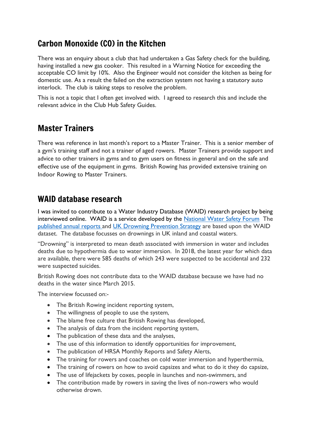## Carbon Monoxide (CO) in the Kitchen

There was an enquiry about a club that had undertaken a Gas Safety check for the building, having installed a new gas cooker. This resulted in a Warning Notice for exceeding the acceptable CO limit by 10%. Also the Engineer would not consider the kitchen as being for domestic use. As a result the failed on the extraction system not having a statutory auto interlock. The club is taking steps to resolve the problem.

This is not a topic that I often get involved with. I agreed to research this and include the relevant advice in the Club Hub Safety Guides.

## Master Trainers

There was reference in last month's report to a Master Trainer. This is a senior member of a gym's training staff and not a trainer of aged rowers. Master Trainers provide support and advice to other trainers in gyms and to gym users on fitness in general and on the safe and effective use of the equipment in gyms. British Rowing has provided extensive training on Indoor Rowing to Master Trainers.

#### WAID database research

I was invited to contribute to a Water Industry Database (WAID) research project by being interviewed online. WAID is a service developed by the [National](https://www.nationalwatersafety.org.uk/waid/) Water Safety Forum The [published](https://www.nationalwatersafety.org.uk/waid/reports-and-data/) annual reports and UK Drowning [Prevention](https://www.nationalwatersafety.org.uk/strategy/) Strategy are based upon the WAID dataset. The database focusses on drownings in UK inland and coastal waters.

"Drowning" is interpreted to mean death associated with immersion in water and includes deaths due to hypothermia due to water immersion. In 2018, the latest year for which data are available, there were 585 deaths of which 243 were suspected to be accidental and 232 were suspected suicides.

British Rowing does not contribute data to the WAID database because we have had no deaths in the water since March 2015.

The interview focussed on:-

- The British Rowing incident reporting system,
- The willingness of people to use the system,
- The blame free culture that British Rowing has developed,
- The analysis of data from the incident reporting system,
- The publication of these data and the analyses,
- The use of this information to identify opportunities for improvement,
- The publication of HRSA Monthly Reports and Safety Alerts,
- The training for rowers and coaches on cold water immersion and hyperthermia,
- The training of rowers on how to avoid capsizes and what to do it they do capsize,
- The use of lifejackets by coxes, people in launches and non-swimmers, and
- The contribution made by rowers in saving the lives of non-rowers who would otherwise drown.